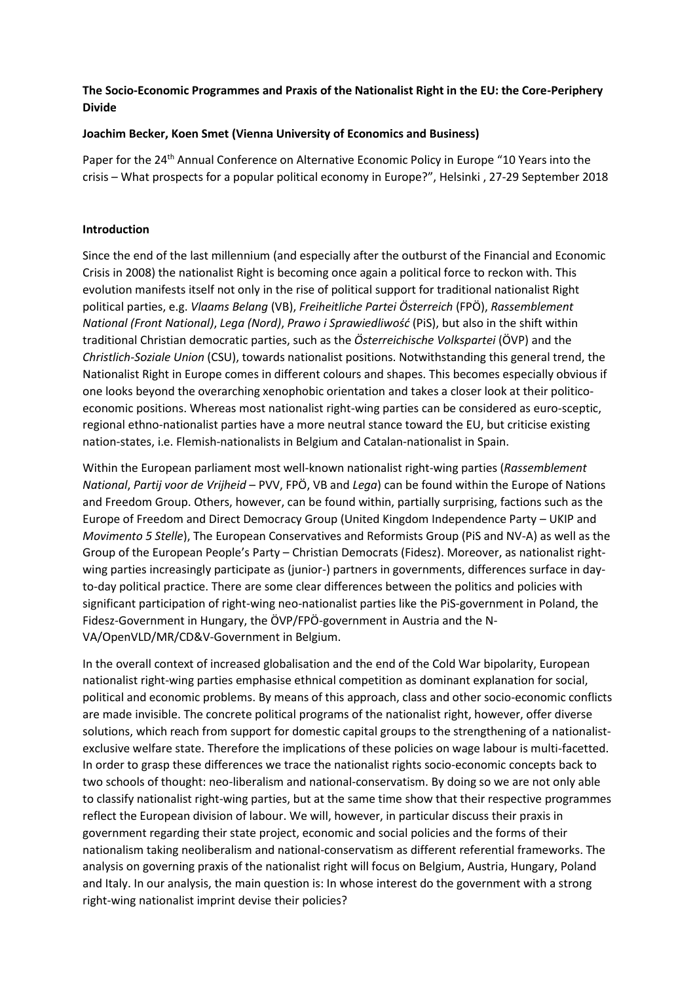# **The Socio-Economic Programmes and Praxis of the Nationalist Right in the EU: the Core-Periphery Divide**

## **Joachim Becker, Koen Smet (Vienna University of Economics and Business)**

Paper for the 24<sup>th</sup> Annual Conference on Alternative Economic Policy in Europe "10 Years into the crisis – What prospects for a popular political economy in Europe?", Helsinki , 27-29 September 2018

## **Introduction**

Since the end of the last millennium (and especially after the outburst of the Financial and Economic Crisis in 2008) the nationalist Right is becoming once again a political force to reckon with. This evolution manifests itself not only in the rise of political support for traditional nationalist Right political parties, e.g. *Vlaams Belang* (VB), *Freiheitliche Partei Österreich* (FPÖ), *Rassemblement National (Front National)*, *Lega (Nord)*, *Prawo i Sprawiedliwość* (PiS), but also in the shift within traditional Christian democratic parties, such as the *Österreichische Volkspartei* (ÖVP) and the *Christlich-Soziale Union* (CSU), towards nationalist positions. Notwithstanding this general trend, the Nationalist Right in Europe comes in different colours and shapes. This becomes especially obvious if one looks beyond the overarching xenophobic orientation and takes a closer look at their politicoeconomic positions. Whereas most nationalist right-wing parties can be considered as euro-sceptic, regional ethno-nationalist parties have a more neutral stance toward the EU, but criticise existing nation-states, i.e. Flemish-nationalists in Belgium and Catalan-nationalist in Spain.

Within the European parliament most well-known nationalist right-wing parties (*Rassemblement National*, *Partij voor de Vrijheid* – PVV, FPÖ, VB and *Lega*) can be found within the Europe of Nations and Freedom Group. Others, however, can be found within, partially surprising, factions such as the Europe of Freedom and Direct Democracy Group (United Kingdom Independence Party – UKIP and *Movimento 5 Stelle*), The European Conservatives and Reformists Group (PiS and NV-A) as well as the Group of the European People's Party – Christian Democrats (Fidesz). Moreover, as nationalist rightwing parties increasingly participate as (junior-) partners in governments, differences surface in dayto-day political practice. There are some clear differences between the politics and policies with significant participation of right-wing neo-nationalist parties like the PiS-government in Poland, the Fidesz-Government in Hungary, the ÖVP/FPÖ-government in Austria and the N-VA/OpenVLD/MR/CD&V-Government in Belgium.

In the overall context of increased globalisation and the end of the Cold War bipolarity, European nationalist right-wing parties emphasise ethnical competition as dominant explanation for social, political and economic problems. By means of this approach, class and other socio-economic conflicts are made invisible. The concrete political programs of the nationalist right, however, offer diverse solutions, which reach from support for domestic capital groups to the strengthening of a nationalistexclusive welfare state. Therefore the implications of these policies on wage labour is multi-facetted. In order to grasp these differences we trace the nationalist rights socio-economic concepts back to two schools of thought: neo-liberalism and national-conservatism. By doing so we are not only able to classify nationalist right-wing parties, but at the same time show that their respective programmes reflect the European division of labour. We will, however, in particular discuss their praxis in government regarding their state project, economic and social policies and the forms of their nationalism taking neoliberalism and national-conservatism as different referential frameworks. The analysis on governing praxis of the nationalist right will focus on Belgium, Austria, Hungary, Poland and Italy. In our analysis, the main question is: In whose interest do the government with a strong right-wing nationalist imprint devise their policies?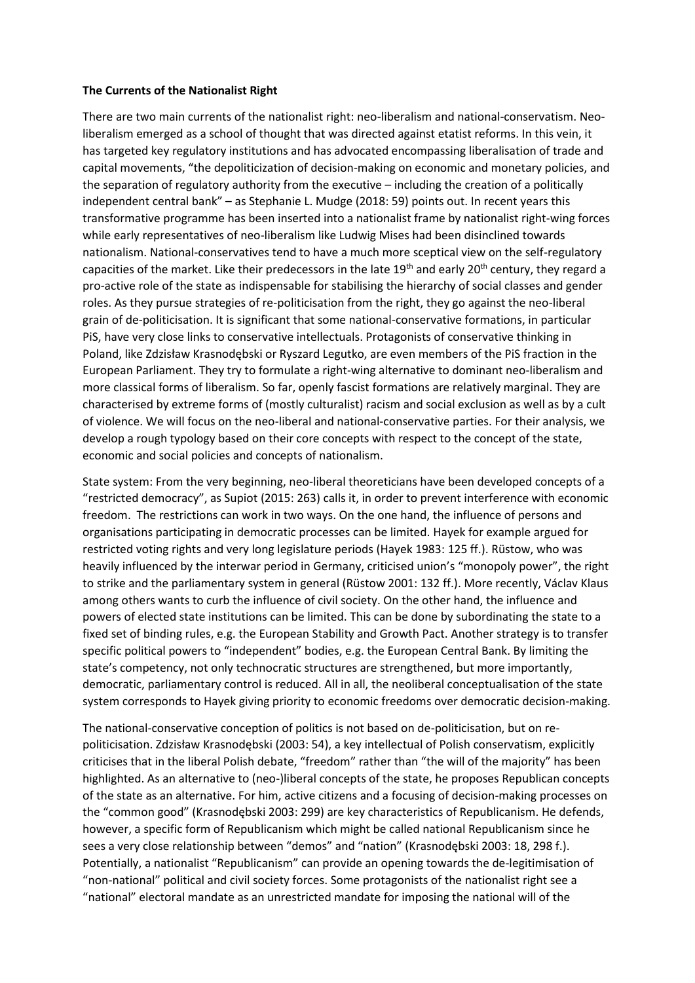#### **The Currents of the Nationalist Right**

There are two main currents of the nationalist right: neo-liberalism and national-conservatism. Neoliberalism emerged as a school of thought that was directed against etatist reforms. In this vein, it has targeted key regulatory institutions and has advocated encompassing liberalisation of trade and capital movements, "the depoliticization of decision-making on economic and monetary policies, and the separation of regulatory authority from the executive – including the creation of a politically independent central bank" – as Stephanie L. Mudge (2018: 59) points out. In recent years this transformative programme has been inserted into a nationalist frame by nationalist right-wing forces while early representatives of neo-liberalism like Ludwig Mises had been disinclined towards nationalism. National-conservatives tend to have a much more sceptical view on the self-regulatory capacities of the market. Like their predecessors in the late 19<sup>th</sup> and early 20<sup>th</sup> century, they regard a pro-active role of the state as indispensable for stabilising the hierarchy of social classes and gender roles. As they pursue strategies of re-politicisation from the right, they go against the neo-liberal grain of de-politicisation. It is significant that some national-conservative formations, in particular PiS, have very close links to conservative intellectuals. Protagonists of conservative thinking in Poland, like Zdzisław Krasnodębski or Ryszard Legutko, are even members of the PiS fraction in the European Parliament. They try to formulate a right-wing alternative to dominant neo-liberalism and more classical forms of liberalism. So far, openly fascist formations are relatively marginal. They are characterised by extreme forms of (mostly culturalist) racism and social exclusion as well as by a cult of violence. We will focus on the neo-liberal and national-conservative parties. For their analysis, we develop a rough typology based on their core concepts with respect to the concept of the state, economic and social policies and concepts of nationalism.

State system: From the very beginning, neo-liberal theoreticians have been developed concepts of a "restricted democracy", as Supiot (2015: 263) calls it, in order to prevent interference with economic freedom. The restrictions can work in two ways. On the one hand, the influence of persons and organisations participating in democratic processes can be limited. Hayek for example argued for restricted voting rights and very long legislature periods (Hayek 1983: 125 ff.). Rüstow, who was heavily influenced by the interwar period in Germany, criticised union's "monopoly power", the right to strike and the parliamentary system in general (Rüstow 2001: 132 ff.). More recently, Václav Klaus among others wants to curb the influence of civil society. On the other hand, the influence and powers of elected state institutions can be limited. This can be done by subordinating the state to a fixed set of binding rules, e.g. the European Stability and Growth Pact. Another strategy is to transfer specific political powers to "independent" bodies, e.g. the European Central Bank. By limiting the state's competency, not only technocratic structures are strengthened, but more importantly, democratic, parliamentary control is reduced. All in all, the neoliberal conceptualisation of the state system corresponds to Hayek giving priority to economic freedoms over democratic decision-making.

The national-conservative conception of politics is not based on de-politicisation, but on repoliticisation. Zdzisław Krasnodębski (2003: 54), a key intellectual of Polish conservatism, explicitly criticises that in the liberal Polish debate, "freedom" rather than "the will of the majority" has been highlighted. As an alternative to (neo-)liberal concepts of the state, he proposes Republican concepts of the state as an alternative. For him, active citizens and a focusing of decision-making processes on the "common good" (Krasnodębski 2003: 299) are key characteristics of Republicanism. He defends, however, a specific form of Republicanism which might be called national Republicanism since he sees a very close relationship between "demos" and "nation" (Krasnodębski 2003: 18, 298 f.). Potentially, a nationalist "Republicanism" can provide an opening towards the de-legitimisation of "non-national" political and civil society forces. Some protagonists of the nationalist right see a "national" electoral mandate as an unrestricted mandate for imposing the national will of the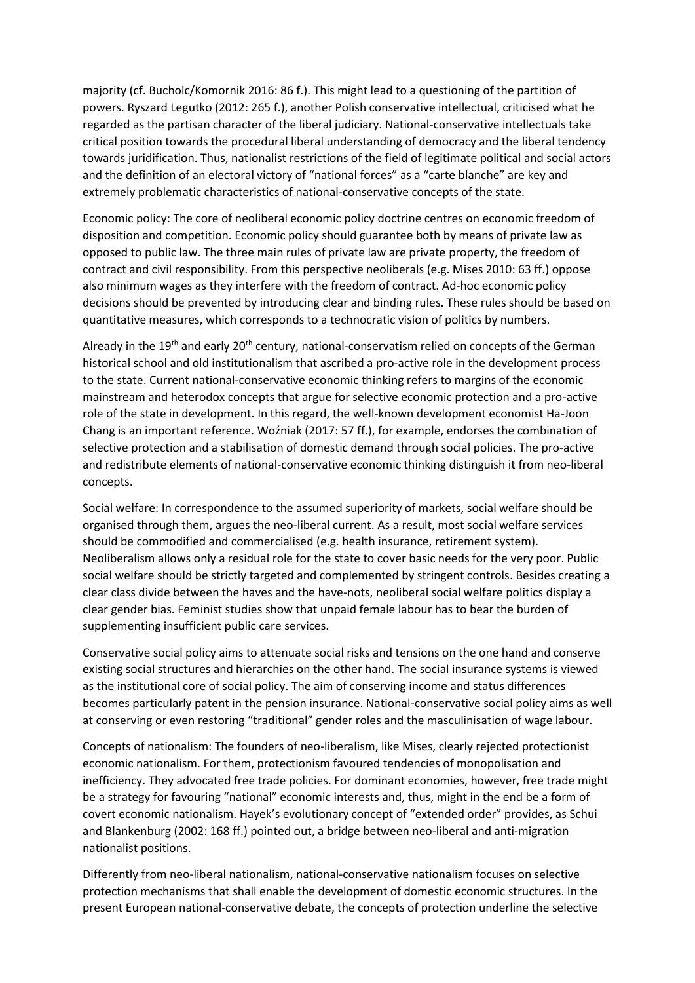majority (cf. Bucholc/Komornik 2016: 86 f.). This might lead to a questioning of the partition of powers. Ryszard Legutko (2012: 265 f.), another Polish conservative intellectual, criticised what he regarded as the partisan character of the liberal judiciary. National-conservative intellectuals take critical position towards the procedural liberal understanding of democracy and the liberal tendency towards juridification. Thus, nationalist restrictions of the field of legitimate political and social actors and the definition of an electoral victory of "national forces" as a "carte blanche" are key and extremely problematic characteristics of national-conservative concepts of the state.

Economic policy: The core of neoliberal economic policy doctrine centres on economic freedom of disposition and competition. Economic policy should guarantee both by means of private law as opposed to public law. The three main rules of private law are private property, the freedom of contract and civil responsibility. From this perspective neoliberals (e.g. Mises 2010: 63 ff.) oppose also minimum wages as they interfere with the freedom of contract. Ad-hoc economic policy decisions should be prevented by introducing clear and binding rules. These rules should be based on quantitative measures, which corresponds to a technocratic vision of politics by numbers.

Already in the 19<sup>th</sup> and early 20<sup>th</sup> century, national-conservatism relied on concepts of the German historical school and old institutionalism that ascribed a pro-active role in the development process to the state. Current national-conservative economic thinking refers to margins of the economic mainstream and heterodox concepts that argue for selective economic protection and a pro-active role of the state in development. In this regard, the well-known development economist Ha-Joon Chang is an important reference. Woźniak (2017: 57 ff.), for example, endorses the combination of selective protection and a stabilisation of domestic demand through social policies. The pro-active and redistribute elements of national-conservative economic thinking distinguish it from neo-liberal concepts.

Social welfare: In correspondence to the assumed superiority of markets, social welfare should be organised through them, argues the neo-liberal current. As a result, most social welfare services should be commodified and commercialised (e.g. health insurance, retirement system). Neoliberalism allows only a residual role for the state to cover basic needs for the very poor. Public social welfare should be strictly targeted and complemented by stringent controls. Besides creating a clear class divide between the haves and the have-nots, neoliberal social welfare politics display a clear gender bias. Feminist studies show that unpaid female labour has to bear the burden of supplementing insufficient public care services.

Conservative social policy aims to attenuate social risks and tensions on the one hand and conserve existing social structures and hierarchies on the other hand. The social insurance systems is viewed as the institutional core of social policy. The aim of conserving income and status differences becomes particularly patent in the pension insurance. National-conservative social policy aims as well at conserving or even restoring "traditional" gender roles and the masculinisation of wage labour.

Concepts of nationalism: The founders of neo-liberalism, like Mises, clearly rejected protectionist economic nationalism. For them, protectionism favoured tendencies of monopolisation and inefficiency. They advocated free trade policies. For dominant economies, however, free trade might be a strategy for favouring "national" economic interests and, thus, might in the end be a form of covert economic nationalism. Hayek's evolutionary concept of "extended order" provides, as Schui and Blankenburg (2002: 168 ff.) pointed out, a bridge between neo-liberal and anti-migration nationalist positions.

Differently from neo-liberal nationalism, national-conservative nationalism focuses on selective protection mechanisms that shall enable the development of domestic economic structures. In the present European national-conservative debate, the concepts of protection underline the selective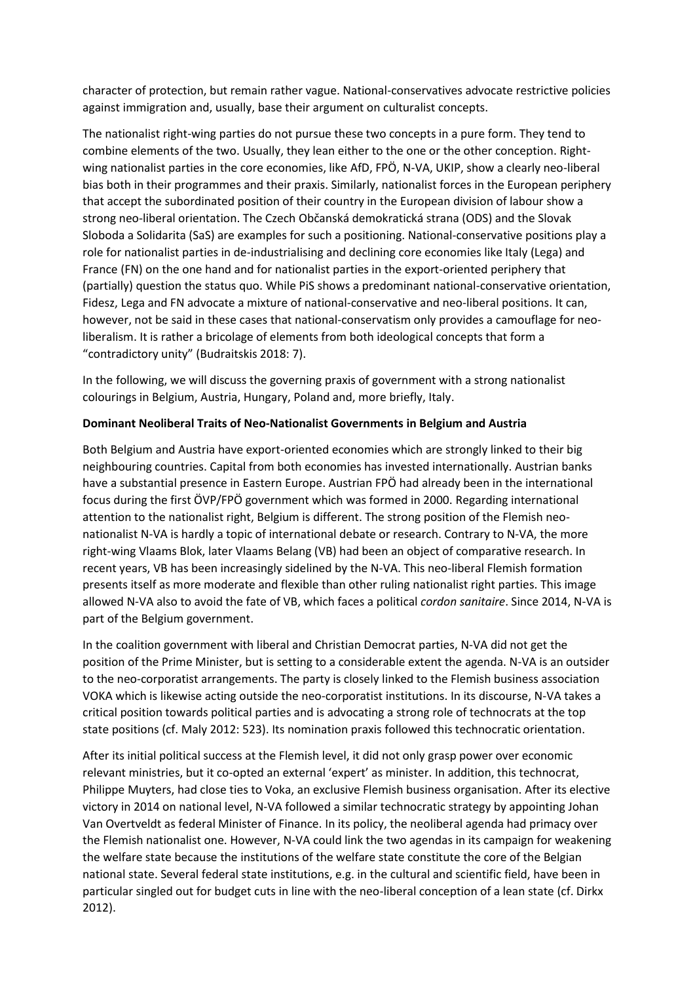character of protection, but remain rather vague. National-conservatives advocate restrictive policies against immigration and, usually, base their argument on culturalist concepts.

The nationalist right-wing parties do not pursue these two concepts in a pure form. They tend to combine elements of the two. Usually, they lean either to the one or the other conception. Rightwing nationalist parties in the core economies, like AfD, FPÖ, N-VA, UKIP, show a clearly neo-liberal bias both in their programmes and their praxis. Similarly, nationalist forces in the European periphery that accept the subordinated position of their country in the European division of labour show a strong neo-liberal orientation. The Czech Občanská demokratická strana (ODS) and the Slovak Sloboda a Solidarita (SaS) are examples for such a positioning. National-conservative positions play a role for nationalist parties in de-industrialising and declining core economies like Italy (Lega) and France (FN) on the one hand and for nationalist parties in the export-oriented periphery that (partially) question the status quo. While PiS shows a predominant national-conservative orientation, Fidesz, Lega and FN advocate a mixture of national-conservative and neo-liberal positions. It can, however, not be said in these cases that national-conservatism only provides a camouflage for neoliberalism. It is rather a bricolage of elements from both ideological concepts that form a "contradictory unity" (Budraitskis 2018: 7).

In the following, we will discuss the governing praxis of government with a strong nationalist colourings in Belgium, Austria, Hungary, Poland and, more briefly, Italy.

# **Dominant Neoliberal Traits of Neo-Nationalist Governments in Belgium and Austria**

Both Belgium and Austria have export-oriented economies which are strongly linked to their big neighbouring countries. Capital from both economies has invested internationally. Austrian banks have a substantial presence in Eastern Europe. Austrian FPÖ had already been in the international focus during the first ÖVP/FPÖ government which was formed in 2000. Regarding international attention to the nationalist right, Belgium is different. The strong position of the Flemish neonationalist N-VA is hardly a topic of international debate or research. Contrary to N-VA, the more right-wing Vlaams Blok, later Vlaams Belang (VB) had been an object of comparative research. In recent years, VB has been increasingly sidelined by the N-VA. This neo-liberal Flemish formation presents itself as more moderate and flexible than other ruling nationalist right parties. This image allowed N-VA also to avoid the fate of VB, which faces a political *cordon sanitaire*. Since 2014, N-VA is part of the Belgium government.

In the coalition government with liberal and Christian Democrat parties, N-VA did not get the position of the Prime Minister, but is setting to a considerable extent the agenda. N-VA is an outsider to the neo-corporatist arrangements. The party is closely linked to the Flemish business association VOKA which is likewise acting outside the neo-corporatist institutions. In its discourse, N-VA takes a critical position towards political parties and is advocating a strong role of technocrats at the top state positions (cf. Maly 2012: 523). Its nomination praxis followed this technocratic orientation.

After its initial political success at the Flemish level, it did not only grasp power over economic relevant ministries, but it co-opted an external 'expert' as minister. In addition, this technocrat, Philippe Muyters, had close ties to Voka, an exclusive Flemish business organisation. After its elective victory in 2014 on national level, N-VA followed a similar technocratic strategy by appointing Johan Van Overtveldt as federal Minister of Finance. In its policy, the neoliberal agenda had primacy over the Flemish nationalist one. However, N-VA could link the two agendas in its campaign for weakening the welfare state because the institutions of the welfare state constitute the core of the Belgian national state. Several federal state institutions, e.g. in the cultural and scientific field, have been in particular singled out for budget cuts in line with the neo-liberal conception of a lean state (cf. Dirkx 2012).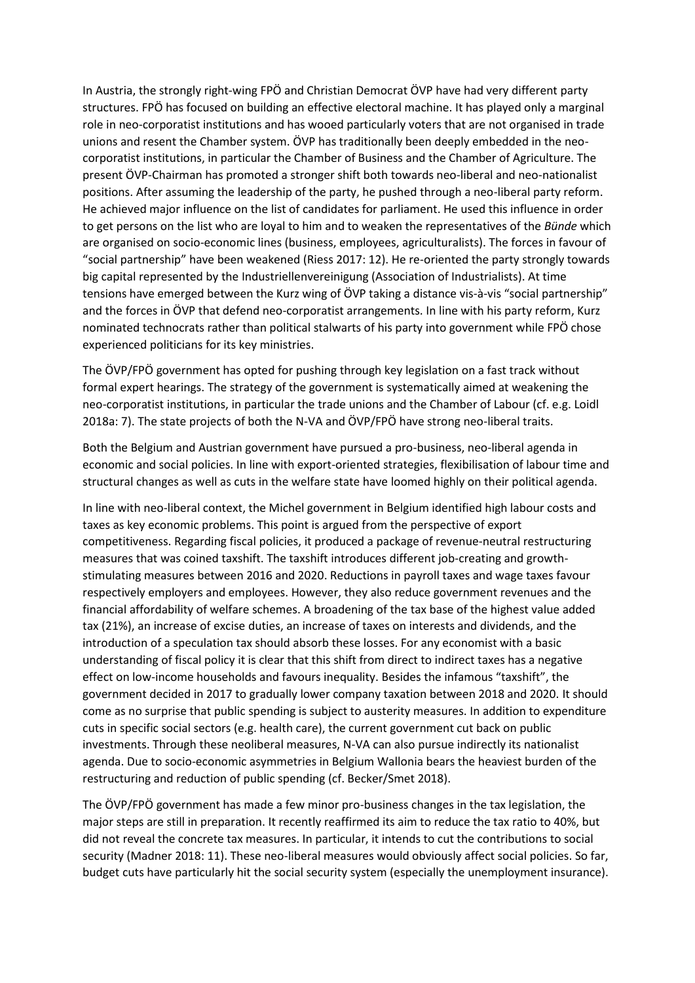In Austria, the strongly right-wing FPÖ and Christian Democrat ÖVP have had very different party structures. FPÖ has focused on building an effective electoral machine. It has played only a marginal role in neo-corporatist institutions and has wooed particularly voters that are not organised in trade unions and resent the Chamber system. ÖVP has traditionally been deeply embedded in the neocorporatist institutions, in particular the Chamber of Business and the Chamber of Agriculture. The present ÖVP-Chairman has promoted a stronger shift both towards neo-liberal and neo-nationalist positions. After assuming the leadership of the party, he pushed through a neo-liberal party reform. He achieved major influence on the list of candidates for parliament. He used this influence in order to get persons on the list who are loyal to him and to weaken the representatives of the *Bünde* which are organised on socio-economic lines (business, employees, agriculturalists). The forces in favour of "social partnership" have been weakened (Riess 2017: 12). He re-oriented the party strongly towards big capital represented by the Industriellenvereinigung (Association of Industrialists). At time tensions have emerged between the Kurz wing of ÖVP taking a distance vis-à-vis "social partnership" and the forces in ÖVP that defend neo-corporatist arrangements. In line with his party reform, Kurz nominated technocrats rather than political stalwarts of his party into government while FPÖ chose experienced politicians for its key ministries.

The ÖVP/FPÖ government has opted for pushing through key legislation on a fast track without formal expert hearings. The strategy of the government is systematically aimed at weakening the neo-corporatist institutions, in particular the trade unions and the Chamber of Labour (cf. e.g. Loidl 2018a: 7). The state projects of both the N-VA and ÖVP/FPÖ have strong neo-liberal traits.

Both the Belgium and Austrian government have pursued a pro-business, neo-liberal agenda in economic and social policies. In line with export-oriented strategies, flexibilisation of labour time and structural changes as well as cuts in the welfare state have loomed highly on their political agenda.

In line with neo-liberal context, the Michel government in Belgium identified high labour costs and taxes as key economic problems. This point is argued from the perspective of export competitiveness. Regarding fiscal policies, it produced a package of revenue-neutral restructuring measures that was coined taxshift. The taxshift introduces different job-creating and growthstimulating measures between 2016 and 2020. Reductions in payroll taxes and wage taxes favour respectively employers and employees. However, they also reduce government revenues and the financial affordability of welfare schemes. A broadening of the tax base of the highest value added tax (21%), an increase of excise duties, an increase of taxes on interests and dividends, and the introduction of a speculation tax should absorb these losses. For any economist with a basic understanding of fiscal policy it is clear that this shift from direct to indirect taxes has a negative effect on low-income households and favours inequality. Besides the infamous "taxshift", the government decided in 2017 to gradually lower company taxation between 2018 and 2020. It should come as no surprise that public spending is subject to austerity measures. In addition to expenditure cuts in specific social sectors (e.g. health care), the current government cut back on public investments. Through these neoliberal measures, N-VA can also pursue indirectly its nationalist agenda. Due to socio-economic asymmetries in Belgium Wallonia bears the heaviest burden of the restructuring and reduction of public spending (cf. Becker/Smet 2018).

The ÖVP/FPÖ government has made a few minor pro-business changes in the tax legislation, the major steps are still in preparation. It recently reaffirmed its aim to reduce the tax ratio to 40%, but did not reveal the concrete tax measures. In particular, it intends to cut the contributions to social security (Madner 2018: 11). These neo-liberal measures would obviously affect social policies. So far, budget cuts have particularly hit the social security system (especially the unemployment insurance).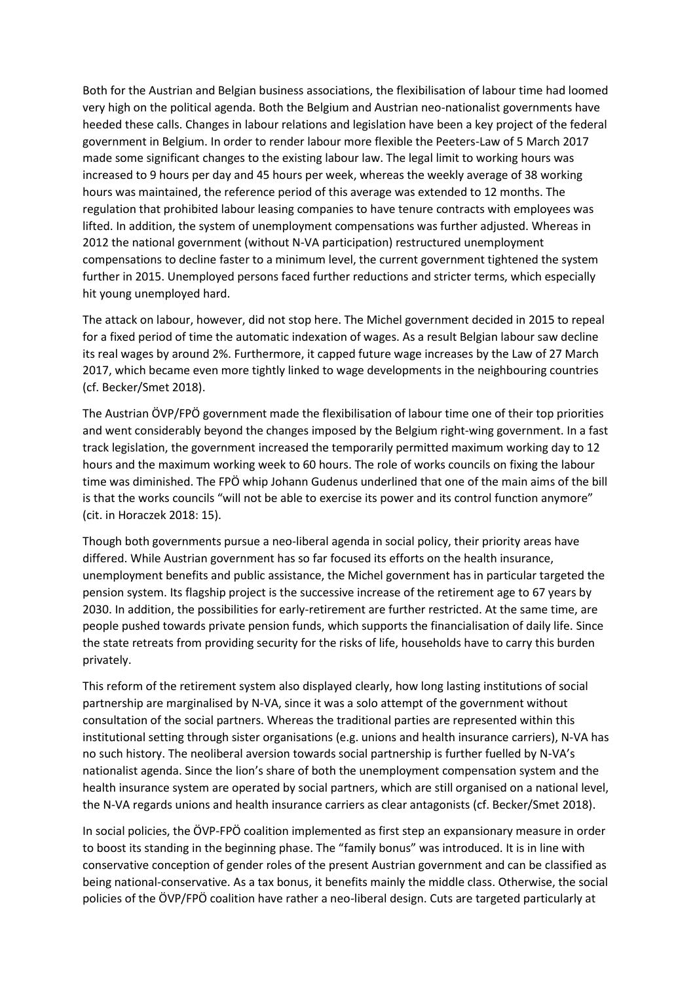Both for the Austrian and Belgian business associations, the flexibilisation of labour time had loomed very high on the political agenda. Both the Belgium and Austrian neo-nationalist governments have heeded these calls. Changes in labour relations and legislation have been a key project of the federal government in Belgium. In order to render labour more flexible the Peeters-Law of 5 March 2017 made some significant changes to the existing labour law. The legal limit to working hours was increased to 9 hours per day and 45 hours per week, whereas the weekly average of 38 working hours was maintained, the reference period of this average was extended to 12 months. The regulation that prohibited labour leasing companies to have tenure contracts with employees was lifted. In addition, the system of unemployment compensations was further adjusted. Whereas in 2012 the national government (without N-VA participation) restructured unemployment compensations to decline faster to a minimum level, the current government tightened the system further in 2015. Unemployed persons faced further reductions and stricter terms, which especially hit young unemployed hard.

The attack on labour, however, did not stop here. The Michel government decided in 2015 to repeal for a fixed period of time the automatic indexation of wages. As a result Belgian labour saw decline its real wages by around 2%. Furthermore, it capped future wage increases by the Law of 27 March 2017, which became even more tightly linked to wage developments in the neighbouring countries (cf. Becker/Smet 2018).

The Austrian ÖVP/FPÖ government made the flexibilisation of labour time one of their top priorities and went considerably beyond the changes imposed by the Belgium right-wing government. In a fast track legislation, the government increased the temporarily permitted maximum working day to 12 hours and the maximum working week to 60 hours. The role of works councils on fixing the labour time was diminished. The FPÖ whip Johann Gudenus underlined that one of the main aims of the bill is that the works councils "will not be able to exercise its power and its control function anymore" (cit. in Horaczek 2018: 15).

Though both governments pursue a neo-liberal agenda in social policy, their priority areas have differed. While Austrian government has so far focused its efforts on the health insurance, unemployment benefits and public assistance, the Michel government has in particular targeted the pension system. Its flagship project is the successive increase of the retirement age to 67 years by 2030. In addition, the possibilities for early-retirement are further restricted. At the same time, are people pushed towards private pension funds, which supports the financialisation of daily life. Since the state retreats from providing security for the risks of life, households have to carry this burden privately.

This reform of the retirement system also displayed clearly, how long lasting institutions of social partnership are marginalised by N-VA, since it was a solo attempt of the government without consultation of the social partners. Whereas the traditional parties are represented within this institutional setting through sister organisations (e.g. unions and health insurance carriers), N-VA has no such history. The neoliberal aversion towards social partnership is further fuelled by N-VA's nationalist agenda. Since the lion's share of both the unemployment compensation system and the health insurance system are operated by social partners, which are still organised on a national level, the N-VA regards unions and health insurance carriers as clear antagonists (cf. Becker/Smet 2018).

In social policies, the ÖVP-FPÖ coalition implemented as first step an expansionary measure in order to boost its standing in the beginning phase. The "family bonus" was introduced. It is in line with conservative conception of gender roles of the present Austrian government and can be classified as being national-conservative. As a tax bonus, it benefits mainly the middle class. Otherwise, the social policies of the ÖVP/FPÖ coalition have rather a neo-liberal design. Cuts are targeted particularly at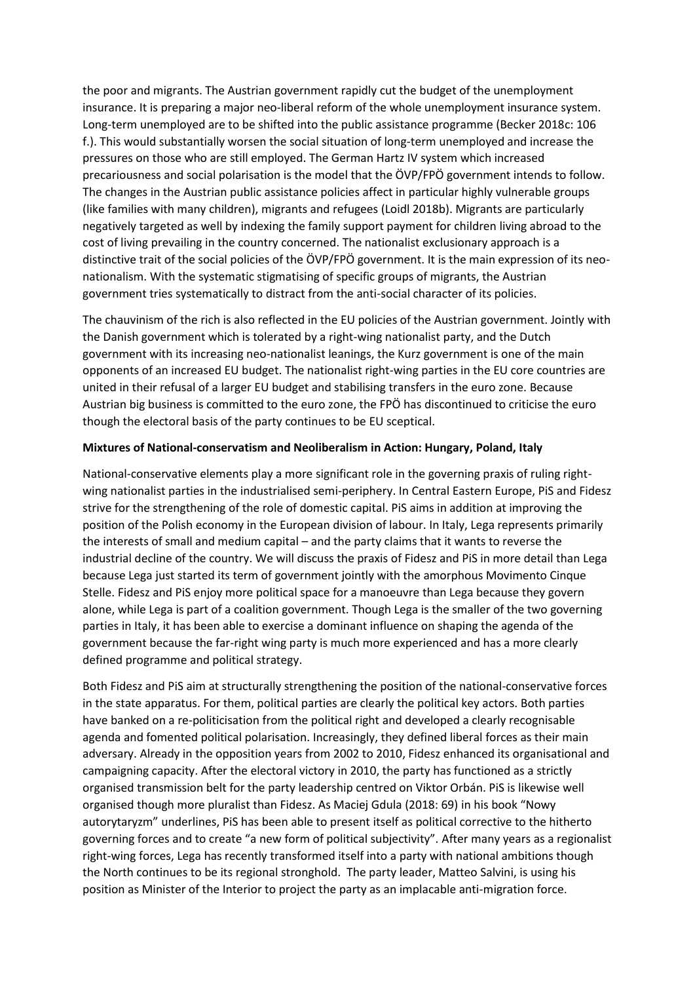the poor and migrants. The Austrian government rapidly cut the budget of the unemployment insurance. It is preparing a major neo-liberal reform of the whole unemployment insurance system. Long-term unemployed are to be shifted into the public assistance programme (Becker 2018c: 106 f.). This would substantially worsen the social situation of long-term unemployed and increase the pressures on those who are still employed. The German Hartz IV system which increased precariousness and social polarisation is the model that the ÖVP/FPÖ government intends to follow. The changes in the Austrian public assistance policies affect in particular highly vulnerable groups (like families with many children), migrants and refugees (Loidl 2018b). Migrants are particularly negatively targeted as well by indexing the family support payment for children living abroad to the cost of living prevailing in the country concerned. The nationalist exclusionary approach is a distinctive trait of the social policies of the ÖVP/FPÖ government. It is the main expression of its neonationalism. With the systematic stigmatising of specific groups of migrants, the Austrian government tries systematically to distract from the anti-social character of its policies.

The chauvinism of the rich is also reflected in the EU policies of the Austrian government. Jointly with the Danish government which is tolerated by a right-wing nationalist party, and the Dutch government with its increasing neo-nationalist leanings, the Kurz government is one of the main opponents of an increased EU budget. The nationalist right-wing parties in the EU core countries are united in their refusal of a larger EU budget and stabilising transfers in the euro zone. Because Austrian big business is committed to the euro zone, the FPÖ has discontinued to criticise the euro though the electoral basis of the party continues to be EU sceptical.

## **Mixtures of National-conservatism and Neoliberalism in Action: Hungary, Poland, Italy**

National-conservative elements play a more significant role in the governing praxis of ruling rightwing nationalist parties in the industrialised semi-periphery. In Central Eastern Europe, PiS and Fidesz strive for the strengthening of the role of domestic capital. PiS aims in addition at improving the position of the Polish economy in the European division of labour. In Italy, Lega represents primarily the interests of small and medium capital – and the party claims that it wants to reverse the industrial decline of the country. We will discuss the praxis of Fidesz and PiS in more detail than Lega because Lega just started its term of government jointly with the amorphous Movimento Cinque Stelle. Fidesz and PiS enjoy more political space for a manoeuvre than Lega because they govern alone, while Lega is part of a coalition government. Though Lega is the smaller of the two governing parties in Italy, it has been able to exercise a dominant influence on shaping the agenda of the government because the far-right wing party is much more experienced and has a more clearly defined programme and political strategy.

Both Fidesz and PiS aim at structurally strengthening the position of the national-conservative forces in the state apparatus. For them, political parties are clearly the political key actors. Both parties have banked on a re-politicisation from the political right and developed a clearly recognisable agenda and fomented political polarisation. Increasingly, they defined liberal forces as their main adversary. Already in the opposition years from 2002 to 2010, Fidesz enhanced its organisational and campaigning capacity. After the electoral victory in 2010, the party has functioned as a strictly organised transmission belt for the party leadership centred on Viktor Orbán. PiS is likewise well organised though more pluralist than Fidesz. As Maciej Gdula (2018: 69) in his book "Nowy autorytaryzm" underlines, PiS has been able to present itself as political corrective to the hitherto governing forces and to create "a new form of political subjectivity". After many years as a regionalist right-wing forces, Lega has recently transformed itself into a party with national ambitions though the North continues to be its regional stronghold. The party leader, Matteo Salvini, is using his position as Minister of the Interior to project the party as an implacable anti-migration force.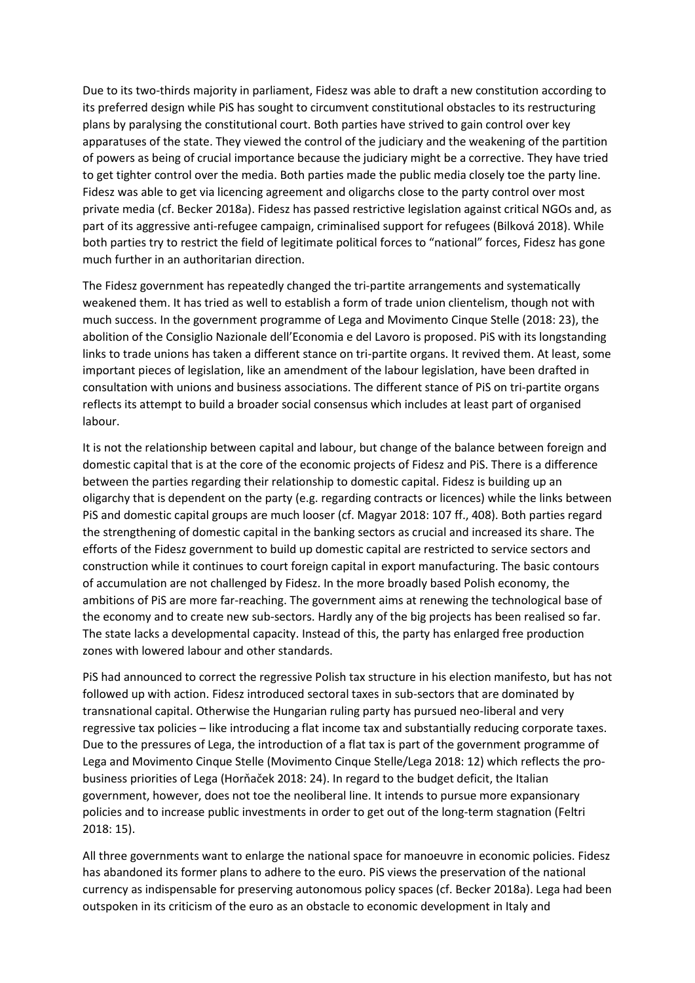Due to its two-thirds majority in parliament, Fidesz was able to draft a new constitution according to its preferred design while PiS has sought to circumvent constitutional obstacles to its restructuring plans by paralysing the constitutional court. Both parties have strived to gain control over key apparatuses of the state. They viewed the control of the judiciary and the weakening of the partition of powers as being of crucial importance because the judiciary might be a corrective. They have tried to get tighter control over the media. Both parties made the public media closely toe the party line. Fidesz was able to get via licencing agreement and oligarchs close to the party control over most private media (cf. Becker 2018a). Fidesz has passed restrictive legislation against critical NGOs and, as part of its aggressive anti-refugee campaign, criminalised support for refugees (Bilková 2018). While both parties try to restrict the field of legitimate political forces to "national" forces, Fidesz has gone much further in an authoritarian direction.

The Fidesz government has repeatedly changed the tri-partite arrangements and systematically weakened them. It has tried as well to establish a form of trade union clientelism, though not with much success. In the government programme of Lega and Movimento Cinque Stelle (2018: 23), the abolition of the Consiglio Nazionale dell'Economia e del Lavoro is proposed. PiS with its longstanding links to trade unions has taken a different stance on tri-partite organs. It revived them. At least, some important pieces of legislation, like an amendment of the labour legislation, have been drafted in consultation with unions and business associations. The different stance of PiS on tri-partite organs reflects its attempt to build a broader social consensus which includes at least part of organised labour.

It is not the relationship between capital and labour, but change of the balance between foreign and domestic capital that is at the core of the economic projects of Fidesz and PiS. There is a difference between the parties regarding their relationship to domestic capital. Fidesz is building up an oligarchy that is dependent on the party (e.g. regarding contracts or licences) while the links between PiS and domestic capital groups are much looser (cf. Magyar 2018: 107 ff., 408). Both parties regard the strengthening of domestic capital in the banking sectors as crucial and increased its share. The efforts of the Fidesz government to build up domestic capital are restricted to service sectors and construction while it continues to court foreign capital in export manufacturing. The basic contours of accumulation are not challenged by Fidesz. In the more broadly based Polish economy, the ambitions of PiS are more far-reaching. The government aims at renewing the technological base of the economy and to create new sub-sectors. Hardly any of the big projects has been realised so far. The state lacks a developmental capacity. Instead of this, the party has enlarged free production zones with lowered labour and other standards.

PiS had announced to correct the regressive Polish tax structure in his election manifesto, but has not followed up with action. Fidesz introduced sectoral taxes in sub-sectors that are dominated by transnational capital. Otherwise the Hungarian ruling party has pursued neo-liberal and very regressive tax policies – like introducing a flat income tax and substantially reducing corporate taxes. Due to the pressures of Lega, the introduction of a flat tax is part of the government programme of Lega and Movimento Cinque Stelle (Movimento Cinque Stelle/Lega 2018: 12) which reflects the probusiness priorities of Lega (Horňaček 2018: 24). In regard to the budget deficit, the Italian government, however, does not toe the neoliberal line. It intends to pursue more expansionary policies and to increase public investments in order to get out of the long-term stagnation (Feltri 2018: 15).

All three governments want to enlarge the national space for manoeuvre in economic policies. Fidesz has abandoned its former plans to adhere to the euro. PiS views the preservation of the national currency as indispensable for preserving autonomous policy spaces (cf. Becker 2018a). Lega had been outspoken in its criticism of the euro as an obstacle to economic development in Italy and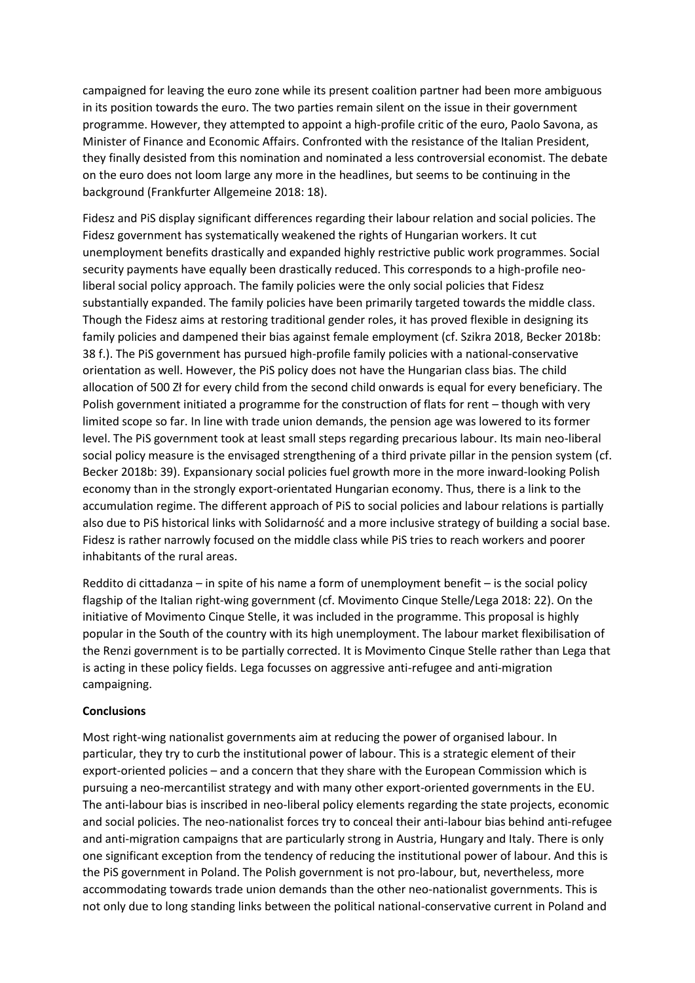campaigned for leaving the euro zone while its present coalition partner had been more ambiguous in its position towards the euro. The two parties remain silent on the issue in their government programme. However, they attempted to appoint a high-profile critic of the euro, Paolo Savona, as Minister of Finance and Economic Affairs. Confronted with the resistance of the Italian President, they finally desisted from this nomination and nominated a less controversial economist. The debate on the euro does not loom large any more in the headlines, but seems to be continuing in the background (Frankfurter Allgemeine 2018: 18).

Fidesz and PiS display significant differences regarding their labour relation and social policies. The Fidesz government has systematically weakened the rights of Hungarian workers. It cut unemployment benefits drastically and expanded highly restrictive public work programmes. Social security payments have equally been drastically reduced. This corresponds to a high-profile neoliberal social policy approach. The family policies were the only social policies that Fidesz substantially expanded. The family policies have been primarily targeted towards the middle class. Though the Fidesz aims at restoring traditional gender roles, it has proved flexible in designing its family policies and dampened their bias against female employment (cf. Szikra 2018, Becker 2018b: 38 f.). The PiS government has pursued high-profile family policies with a national-conservative orientation as well. However, the PiS policy does not have the Hungarian class bias. The child allocation of 500 Zł for every child from the second child onwards is equal for every beneficiary. The Polish government initiated a programme for the construction of flats for rent – though with very limited scope so far. In line with trade union demands, the pension age was lowered to its former level. The PiS government took at least small steps regarding precarious labour. Its main neo-liberal social policy measure is the envisaged strengthening of a third private pillar in the pension system (cf. Becker 2018b: 39). Expansionary social policies fuel growth more in the more inward-looking Polish economy than in the strongly export-orientated Hungarian economy. Thus, there is a link to the accumulation regime. The different approach of PiS to social policies and labour relations is partially also due to PiS historical links with Solidarność and a more inclusive strategy of building a social base. Fidesz is rather narrowly focused on the middle class while PiS tries to reach workers and poorer inhabitants of the rural areas.

Reddito di cittadanza – in spite of his name a form of unemployment benefit – is the social policy flagship of the Italian right-wing government (cf. Movimento Cinque Stelle/Lega 2018: 22). On the initiative of Movimento Cinque Stelle, it was included in the programme. This proposal is highly popular in the South of the country with its high unemployment. The labour market flexibilisation of the Renzi government is to be partially corrected. It is Movimento Cinque Stelle rather than Lega that is acting in these policy fields. Lega focusses on aggressive anti-refugee and anti-migration campaigning.

### **Conclusions**

Most right-wing nationalist governments aim at reducing the power of organised labour. In particular, they try to curb the institutional power of labour. This is a strategic element of their export-oriented policies – and a concern that they share with the European Commission which is pursuing a neo-mercantilist strategy and with many other export-oriented governments in the EU. The anti-labour bias is inscribed in neo-liberal policy elements regarding the state projects, economic and social policies. The neo-nationalist forces try to conceal their anti-labour bias behind anti-refugee and anti-migration campaigns that are particularly strong in Austria, Hungary and Italy. There is only one significant exception from the tendency of reducing the institutional power of labour. And this is the PiS government in Poland. The Polish government is not pro-labour, but, nevertheless, more accommodating towards trade union demands than the other neo-nationalist governments. This is not only due to long standing links between the political national-conservative current in Poland and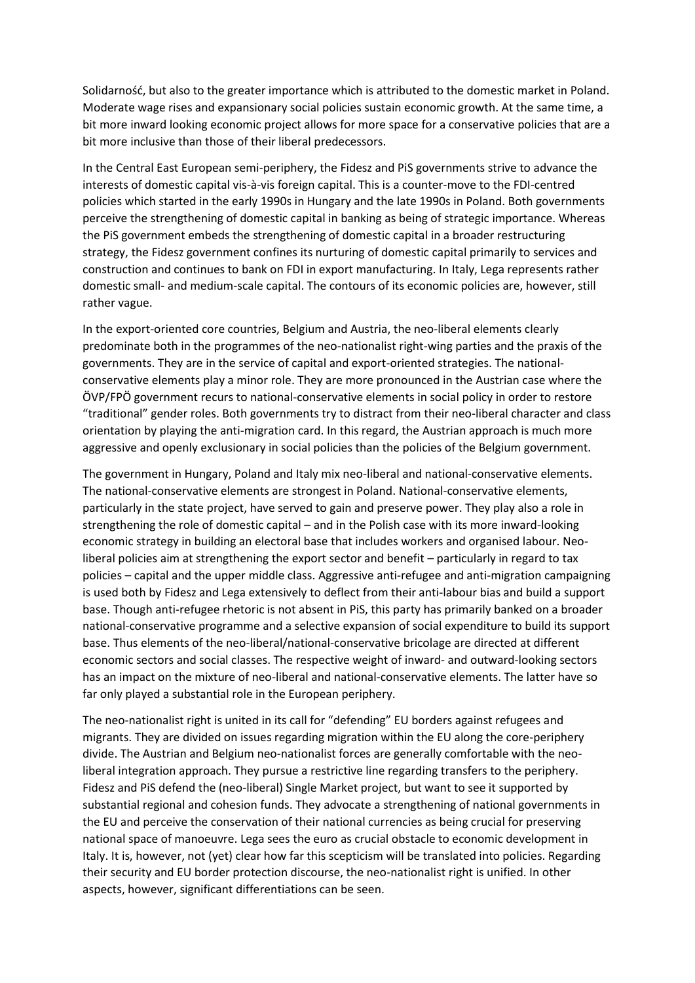Solidarność, but also to the greater importance which is attributed to the domestic market in Poland. Moderate wage rises and expansionary social policies sustain economic growth. At the same time, a bit more inward looking economic project allows for more space for a conservative policies that are a bit more inclusive than those of their liberal predecessors.

In the Central East European semi-periphery, the Fidesz and PiS governments strive to advance the interests of domestic capital vis-à-vis foreign capital. This is a counter-move to the FDI-centred policies which started in the early 1990s in Hungary and the late 1990s in Poland. Both governments perceive the strengthening of domestic capital in banking as being of strategic importance. Whereas the PiS government embeds the strengthening of domestic capital in a broader restructuring strategy, the Fidesz government confines its nurturing of domestic capital primarily to services and construction and continues to bank on FDI in export manufacturing. In Italy, Lega represents rather domestic small- and medium-scale capital. The contours of its economic policies are, however, still rather vague.

In the export-oriented core countries, Belgium and Austria, the neo-liberal elements clearly predominate both in the programmes of the neo-nationalist right-wing parties and the praxis of the governments. They are in the service of capital and export-oriented strategies. The nationalconservative elements play a minor role. They are more pronounced in the Austrian case where the ÖVP/FPÖ government recurs to national-conservative elements in social policy in order to restore "traditional" gender roles. Both governments try to distract from their neo-liberal character and class orientation by playing the anti-migration card. In this regard, the Austrian approach is much more aggressive and openly exclusionary in social policies than the policies of the Belgium government.

The government in Hungary, Poland and Italy mix neo-liberal and national-conservative elements. The national-conservative elements are strongest in Poland. National-conservative elements, particularly in the state project, have served to gain and preserve power. They play also a role in strengthening the role of domestic capital – and in the Polish case with its more inward-looking economic strategy in building an electoral base that includes workers and organised labour. Neoliberal policies aim at strengthening the export sector and benefit – particularly in regard to tax policies – capital and the upper middle class. Aggressive anti-refugee and anti-migration campaigning is used both by Fidesz and Lega extensively to deflect from their anti-labour bias and build a support base. Though anti-refugee rhetoric is not absent in PiS, this party has primarily banked on a broader national-conservative programme and a selective expansion of social expenditure to build its support base. Thus elements of the neo-liberal/national-conservative bricolage are directed at different economic sectors and social classes. The respective weight of inward- and outward-looking sectors has an impact on the mixture of neo-liberal and national-conservative elements. The latter have so far only played a substantial role in the European periphery.

The neo-nationalist right is united in its call for "defending" EU borders against refugees and migrants. They are divided on issues regarding migration within the EU along the core-periphery divide. The Austrian and Belgium neo-nationalist forces are generally comfortable with the neoliberal integration approach. They pursue a restrictive line regarding transfers to the periphery. Fidesz and PiS defend the (neo-liberal) Single Market project, but want to see it supported by substantial regional and cohesion funds. They advocate a strengthening of national governments in the EU and perceive the conservation of their national currencies as being crucial for preserving national space of manoeuvre. Lega sees the euro as crucial obstacle to economic development in Italy. It is, however, not (yet) clear how far this scepticism will be translated into policies. Regarding their security and EU border protection discourse, the neo-nationalist right is unified. In other aspects, however, significant differentiations can be seen.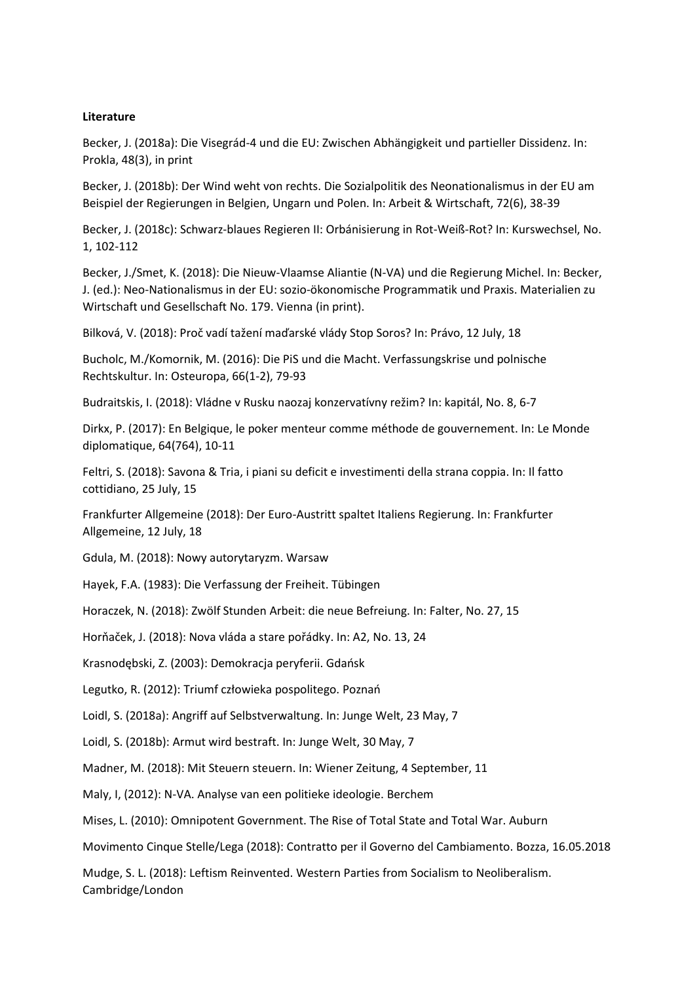#### **Literature**

Becker, J. (2018a): Die Visegrád-4 und die EU: Zwischen Abhängigkeit und partieller Dissidenz. In: Prokla, 48(3), in print

Becker, J. (2018b): Der Wind weht von rechts. Die Sozialpolitik des Neonationalismus in der EU am Beispiel der Regierungen in Belgien, Ungarn und Polen. In: Arbeit & Wirtschaft, 72(6), 38-39

Becker, J. (2018c): Schwarz-blaues Regieren II: Orbánisierung in Rot-Weiß-Rot? In: Kurswechsel, No. 1, 102-112

Becker, J./Smet, K. (2018): Die Nieuw-Vlaamse Aliantie (N-VA) und die Regierung Michel. In: Becker, J. (ed.): Neo-Nationalismus in der EU: sozio-ökonomische Programmatik und Praxis. Materialien zu Wirtschaft und Gesellschaft No. 179. Vienna (in print).

Bilková, V. (2018): Proč vadí tažení maďarské vlády Stop Soros? In: Právo, 12 July, 18

Bucholc, M./Komornik, M. (2016): Die PiS und die Macht. Verfassungskrise und polnische Rechtskultur. In: Osteuropa, 66(1-2), 79-93

Budraitskis, I. (2018): Vládne v Rusku naozaj konzervatívny režim? In: kapitál, No. 8, 6-7

Dirkx, P. (2017): En Belgique, le poker menteur comme méthode de gouvernement. In: Le Monde diplomatique, 64(764), 10-11

Feltri, S. (2018): Savona & Tria, i piani su deficit e investimenti della strana coppia. In: Il fatto cottidiano, 25 July, 15

Frankfurter Allgemeine (2018): Der Euro-Austritt spaltet Italiens Regierung. In: Frankfurter Allgemeine, 12 July, 18

Gdula, M. (2018): Nowy autorytaryzm. Warsaw

Hayek, F.A. (1983): Die Verfassung der Freiheit. Tübingen

Horaczek, N. (2018): Zwölf Stunden Arbeit: die neue Befreiung. In: Falter, No. 27, 15

Horňaček, J. (2018): Nova vláda a stare pořádky. In: A2, No. 13, 24

Krasnodębski, Z. (2003): Demokracja peryferii. Gdańsk

Legutko, R. (2012): Triumf człowieka pospolitego. Poznań

Loidl, S. (2018a): Angriff auf Selbstverwaltung. In: Junge Welt, 23 May, 7

Loidl, S. (2018b): Armut wird bestraft. In: Junge Welt, 30 May, 7

Madner, M. (2018): Mit Steuern steuern. In: Wiener Zeitung, 4 September, 11

Maly, I, (2012): N-VA. Analyse van een politieke ideologie. Berchem

Mises, L. (2010): Omnipotent Government. The Rise of Total State and Total War. Auburn

Movimento Cinque Stelle/Lega (2018): Contratto per il Governo del Cambiamento. Bozza, 16.05.2018

Mudge, S. L. (2018): Leftism Reinvented. Western Parties from Socialism to Neoliberalism. Cambridge/London